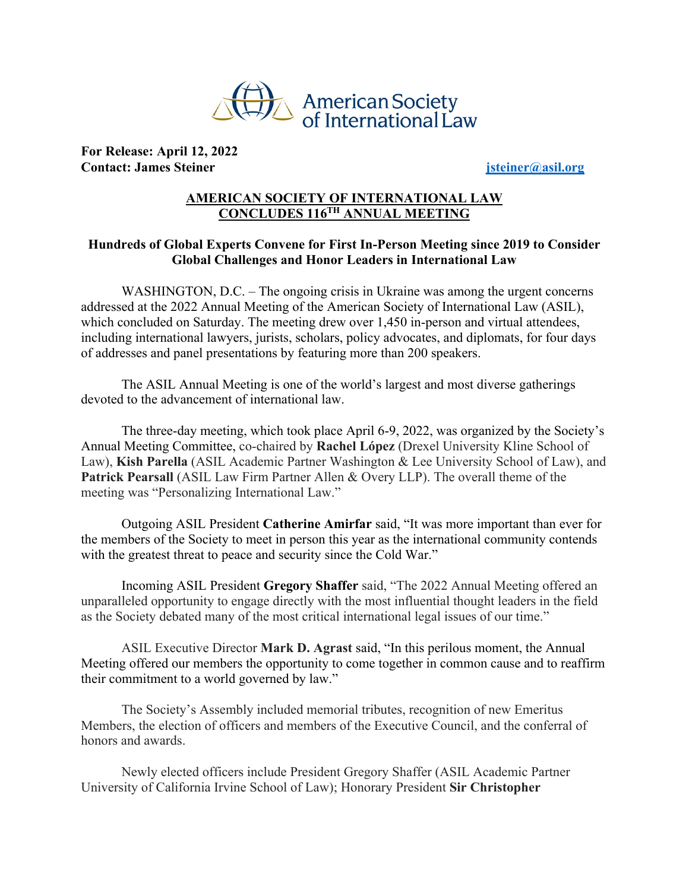

**For Release: April 12, 2022 Contact: James Steiner jsteiner@asil.org**

## **AMERICAN SOCIETY OF INTERNATIONAL LAW CONCLUDES 116TH ANNUAL MEETING**

## **Hundreds of Global Experts Convene for First In-Person Meeting since 2019 to Consider Global Challenges and Honor Leaders in International Law**

WASHINGTON, D.C. – The ongoing crisis in Ukraine was among the urgent concerns addressed at the 2022 Annual Meeting of the American Society of International Law (ASIL), which concluded on Saturday. The meeting drew over 1,450 in-person and virtual attendees, including international lawyers, jurists, scholars, policy advocates, and diplomats, for four days of addresses and panel presentations by featuring more than 200 speakers.

The ASIL Annual Meeting is one of the world's largest and most diverse gatherings devoted to the advancement of international law.

The three-day meeting, which took place April 6-9, 2022, was organized by the Society's Annual Meeting Committee, co-chaired by **Rachel López** (Drexel University Kline School of Law), **Kish Parella** (ASIL Academic Partner Washington & Lee University School of Law), and **Patrick Pearsall** (ASIL Law Firm Partner Allen & Overy LLP). The overall theme of the meeting was "Personalizing International Law."

Outgoing ASIL President **Catherine Amirfar** said, "It was more important than ever for the members of the Society to meet in person this year as the international community contends with the greatest threat to peace and security since the Cold War."

Incoming ASIL President **Gregory Shaffer** said, "The 2022 Annual Meeting offered an unparalleled opportunity to engage directly with the most influential thought leaders in the field as the Society debated many of the most critical international legal issues of our time."

ASIL Executive Director **Mark D. Agrast** said, "In this perilous moment, the Annual Meeting offered our members the opportunity to come together in common cause and to reaffirm their commitment to a world governed by law."

The Society's Assembly included memorial tributes, recognition of new Emeritus Members, the election of officers and members of the Executive Council, and the conferral of honors and awards.

Newly elected officers include President Gregory Shaffer (ASIL Academic Partner University of California Irvine School of Law); Honorary President **Sir Christopher**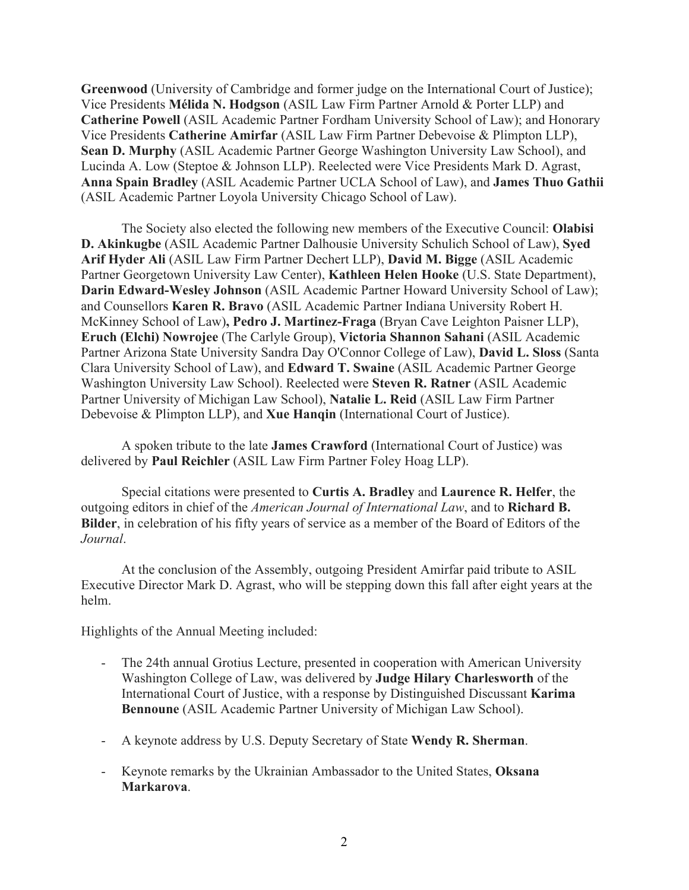**Greenwood** (University of Cambridge and former judge on the International Court of Justice); Vice Presidents **Mélida N. Hodgson** (ASIL Law Firm Partner Arnold & Porter LLP) and **Catherine Powell** (ASIL Academic Partner Fordham University School of Law); and Honorary Vice Presidents **Catherine Amirfar** (ASIL Law Firm Partner Debevoise & Plimpton LLP), **Sean D. Murphy** (ASIL Academic Partner George Washington University Law School), and Lucinda A. Low (Steptoe & Johnson LLP). Reelected were Vice Presidents Mark D. Agrast, **Anna Spain Bradley** (ASIL Academic Partner UCLA School of Law), and **James Thuo Gathii** (ASIL Academic Partner Loyola University Chicago School of Law).

The Society also elected the following new members of the Executive Council: **Olabisi D. Akinkugbe** (ASIL Academic Partner Dalhousie University Schulich School of Law), **Syed Arif Hyder Ali** (ASIL Law Firm Partner Dechert LLP), **David M. Bigge** (ASIL Academic Partner Georgetown University Law Center), **Kathleen Helen Hooke** (U.S. State Department), **Darin Edward-Wesley Johnson** (ASIL Academic Partner Howard University School of Law); and Counsellors **Karen R. Bravo** (ASIL Academic Partner Indiana University Robert H. McKinney School of Law)**, Pedro J. Martinez-Fraga** (Bryan Cave Leighton Paisner LLP), **Eruch (Elchi) Nowrojee** (The Carlyle Group), **Victoria Shannon Sahani** (ASIL Academic Partner Arizona State University Sandra Day O'Connor College of Law), **David L. Sloss** (Santa Clara University School of Law), and **Edward T. Swaine** (ASIL Academic Partner George Washington University Law School). Reelected were **Steven R. Ratner** (ASIL Academic Partner University of Michigan Law School), **Natalie L. Reid** (ASIL Law Firm Partner Debevoise & Plimpton LLP), and **Xue Hanqin** (International Court of Justice).

A spoken tribute to the late **James Crawford** (International Court of Justice) was delivered by **Paul Reichler** (ASIL Law Firm Partner Foley Hoag LLP).

Special citations were presented to **Curtis A. Bradley** and **Laurence R. Helfer**, the outgoing editors in chief of the *American Journal of International Law*, and to **Richard B. Bilder**, in celebration of his fifty years of service as a member of the Board of Editors of the *Journal*.

At the conclusion of the Assembly, outgoing President Amirfar paid tribute to ASIL Executive Director Mark D. Agrast, who will be stepping down this fall after eight years at the helm.

Highlights of the Annual Meeting included:

- The 24th annual Grotius Lecture, presented in cooperation with American University Washington College of Law, was delivered by **Judge Hilary Charlesworth** of the International Court of Justice, with a response by Distinguished Discussant **Karima Bennoune** (ASIL Academic Partner University of Michigan Law School).
- A keynote address by U.S. Deputy Secretary of State **Wendy R. Sherman**.
- Keynote remarks by the Ukrainian Ambassador to the United States, **Oksana Markarova**.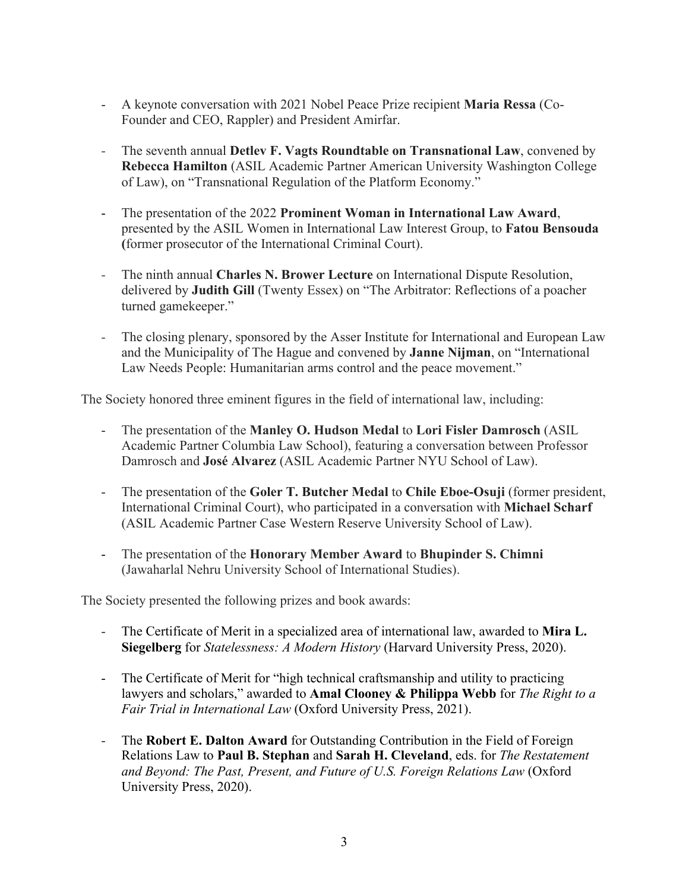- A keynote conversation with 2021 Nobel Peace Prize recipient **Maria Ressa** (Co-Founder and CEO, Rappler) and President Amirfar.
- The seventh annual **Detlev F. Vagts Roundtable on Transnational Law**, convened by **Rebecca Hamilton** (ASIL Academic Partner American University Washington College of Law), on "Transnational Regulation of the Platform Economy."
- The presentation of the 2022 **Prominent Woman in International Law Award**, presented by the ASIL Women in International Law Interest Group, to **Fatou Bensouda (**former prosecutor of the International Criminal Court).
- The ninth annual **Charles N. Brower Lecture** on International Dispute Resolution, delivered by **Judith Gill** (Twenty Essex) on "The Arbitrator: Reflections of a poacher turned gamekeeper."
- The closing plenary, sponsored by the Asser Institute for International and European Law and the Municipality of The Hague and convened by **Janne Nijman**, on "International Law Needs People: Humanitarian arms control and the peace movement."

The Society honored three eminent figures in the field of international law, including:

- The presentation of the **Manley O. Hudson Medal** to **Lori Fisler Damrosch** (ASIL Academic Partner Columbia Law School), featuring a conversation between Professor Damrosch and **José Alvarez** (ASIL Academic Partner NYU School of Law).
- The presentation of the **Goler T. Butcher Medal** to **Chile Eboe-Osuji** (former president, International Criminal Court), who participated in a conversation with **Michael Scharf** (ASIL Academic Partner Case Western Reserve University School of Law).
- The presentation of the **Honorary Member Award** to **Bhupinder S. Chimni** (Jawaharlal Nehru University School of International Studies).

The Society presented the following prizes and book awards:

- The Certificate of Merit in a specialized area of international law, awarded to **Mira L. Siegelberg** for *Statelessness: A Modern History* (Harvard University Press, 2020).
- The Certificate of Merit for "high technical craftsmanship and utility to practicing lawyers and scholars," awarded to **Amal Clooney & Philippa Webb** for *The Right to a Fair Trial in International Law* (Oxford University Press, 2021).
- The **Robert E. Dalton Award** for Outstanding Contribution in the Field of Foreign Relations Law to **Paul B. Stephan** and **Sarah H. Cleveland**, eds. for *The Restatement and Beyond: The Past, Present, and Future of U.S. Foreign Relations Law* (Oxford University Press, 2020).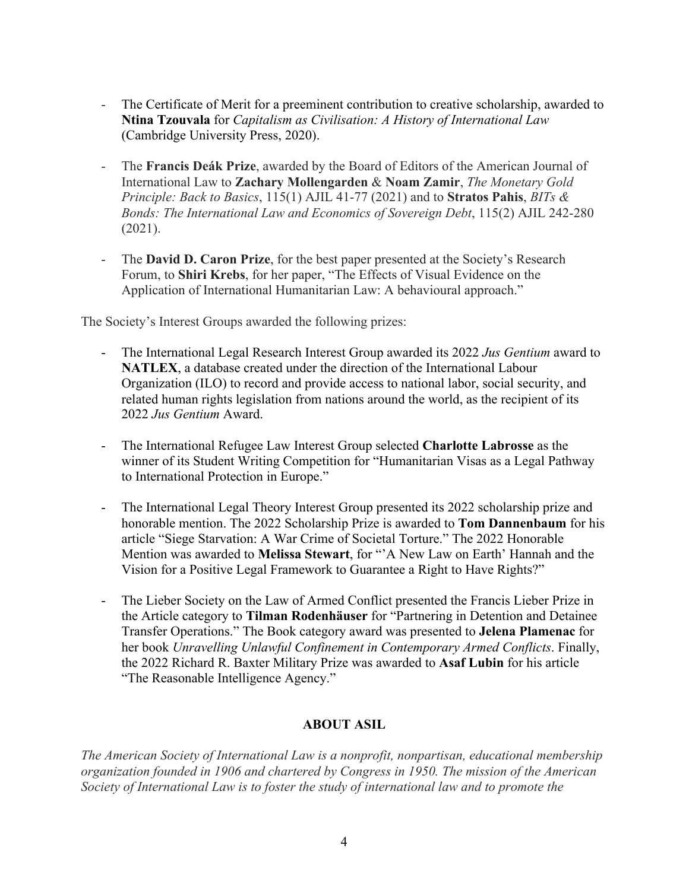- The Certificate of Merit for a preeminent contribution to creative scholarship, awarded to **Ntina Tzouvala** for *Capitalism as Civilisation: A History of International Law* (Cambridge University Press, 2020).
- The Francis Deák Prize, awarded by the Board of Editors of the American Journal of International Law to **Zachary Mollengarden** & **Noam Zamir**, *The Monetary Gold Principle: Back to Basics*, 115(1) AJIL 41-77 (2021) and to **Stratos Pahis**, *BITs & Bonds: The International Law and Economics of Sovereign Debt*, 115(2) AJIL 242-280 (2021).
- The **David D. Caron Prize**, for the best paper presented at the Society's Research Forum, to **Shiri Krebs**, for her paper, "The Effects of Visual Evidence on the Application of International Humanitarian Law: A behavioural approach."

The Society's Interest Groups awarded the following prizes:

- The International Legal Research Interest Group awarded its 2022 *Jus Gentium* award to **NATLEX**, a database created under the direction of the International Labour Organization (ILO) to record and provide access to national labor, social security, and related human rights legislation from nations around the world, as the recipient of its 2022 *Jus Gentium* Award.
- The International Refugee Law Interest Group selected **Charlotte Labrosse** as the winner of its Student Writing Competition for "Humanitarian Visas as a Legal Pathway to International Protection in Europe."
- The International Legal Theory Interest Group presented its 2022 scholarship prize and honorable mention. The 2022 Scholarship Prize is awarded to **Tom Dannenbaum** for his article "Siege Starvation: A War Crime of Societal Torture." The 2022 Honorable Mention was awarded to **Melissa Stewart**, for "'A New Law on Earth' Hannah and the Vision for a Positive Legal Framework to Guarantee a Right to Have Rights?"
- The Lieber Society on the Law of Armed Conflict presented the Francis Lieber Prize in the Article category to **Tilman Rodenhäuser** for "Partnering in Detention and Detainee Transfer Operations." The Book category award was presented to **Jelena Plamenac** for her book *Unravelling Unlawful Confinement in Contemporary Armed Conflicts*. Finally, the 2022 Richard R. Baxter Military Prize was awarded to **Asaf Lubin** for his article "The Reasonable Intelligence Agency."

## **ABOUT ASIL**

*The American Society of International Law is a nonprofit, nonpartisan, educational membership organization founded in 1906 and chartered by Congress in 1950. The mission of the American Society of International Law is to foster the study of international law and to promote the*